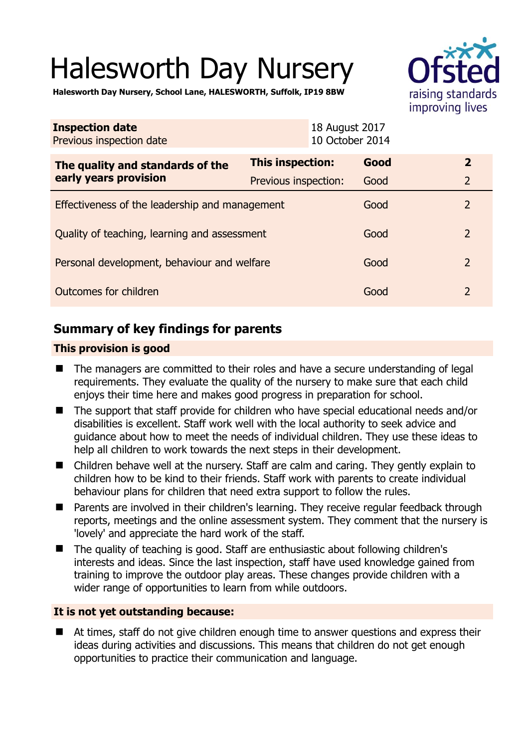# Halesworth Day Nursery



**Halesworth Day Nursery, School Lane, HALESWORTH, Suffolk, IP19 8BW** 

| <b>Inspection date</b><br>Previous inspection date        | 18 August 2017          | 10 October 2014 |                |
|-----------------------------------------------------------|-------------------------|-----------------|----------------|
| The quality and standards of the<br>early years provision | <b>This inspection:</b> | Good            | $\overline{2}$ |
|                                                           | Previous inspection:    | Good            | $\overline{2}$ |
| Effectiveness of the leadership and management            |                         | Good            | $\overline{2}$ |
| Quality of teaching, learning and assessment              |                         | Good            | $\overline{2}$ |
| Personal development, behaviour and welfare               |                         | Good            | $\overline{2}$ |
| Outcomes for children                                     |                         | Good            | $\overline{2}$ |

# **Summary of key findings for parents**

## **This provision is good**

- The managers are committed to their roles and have a secure understanding of legal requirements. They evaluate the quality of the nursery to make sure that each child enjoys their time here and makes good progress in preparation for school.
- The support that staff provide for children who have special educational needs and/or disabilities is excellent. Staff work well with the local authority to seek advice and guidance about how to meet the needs of individual children. They use these ideas to help all children to work towards the next steps in their development.
- Children behave well at the nursery. Staff are calm and caring. They gently explain to children how to be kind to their friends. Staff work with parents to create individual behaviour plans for children that need extra support to follow the rules.
- **Parents are involved in their children's learning. They receive regular feedback through** reports, meetings and the online assessment system. They comment that the nursery is 'lovely' and appreciate the hard work of the staff.
- The quality of teaching is good. Staff are enthusiastic about following children's interests and ideas. Since the last inspection, staff have used knowledge gained from training to improve the outdoor play areas. These changes provide children with a wider range of opportunities to learn from while outdoors.

## **It is not yet outstanding because:**

 At times, staff do not give children enough time to answer questions and express their ideas during activities and discussions. This means that children do not get enough opportunities to practice their communication and language.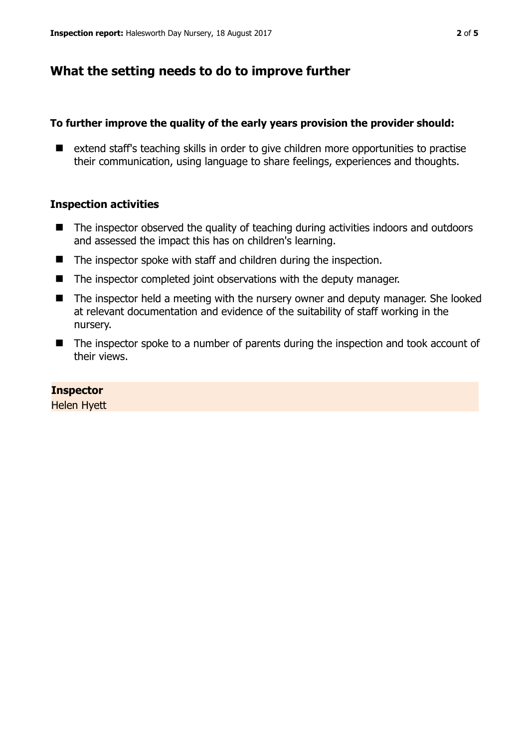# **What the setting needs to do to improve further**

## **To further improve the quality of the early years provision the provider should:**

■ extend staff's teaching skills in order to give children more opportunities to practise their communication, using language to share feelings, experiences and thoughts.

## **Inspection activities**

- The inspector observed the quality of teaching during activities indoors and outdoors and assessed the impact this has on children's learning.
- The inspector spoke with staff and children during the inspection.
- The inspector completed joint observations with the deputy manager.
- The inspector held a meeting with the nursery owner and deputy manager. She looked at relevant documentation and evidence of the suitability of staff working in the nursery.
- The inspector spoke to a number of parents during the inspection and took account of their views.

#### **Inspector**

Helen Hyett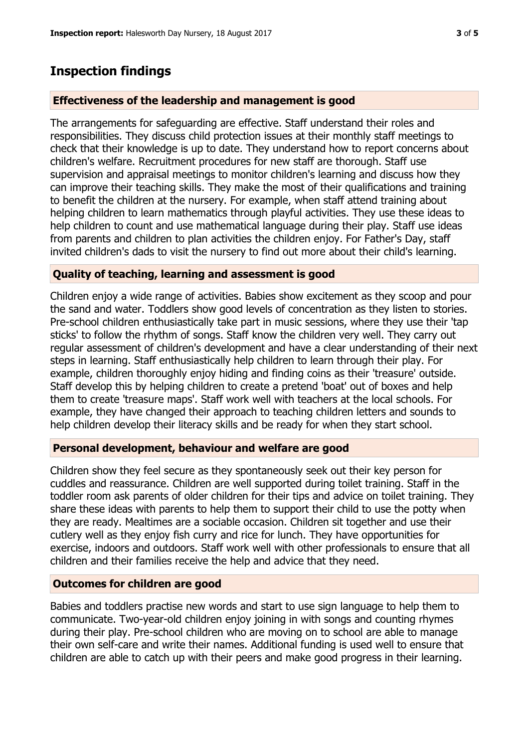# **Inspection findings**

#### **Effectiveness of the leadership and management is good**

The arrangements for safeguarding are effective. Staff understand their roles and responsibilities. They discuss child protection issues at their monthly staff meetings to check that their knowledge is up to date. They understand how to report concerns about children's welfare. Recruitment procedures for new staff are thorough. Staff use supervision and appraisal meetings to monitor children's learning and discuss how they can improve their teaching skills. They make the most of their qualifications and training to benefit the children at the nursery. For example, when staff attend training about helping children to learn mathematics through playful activities. They use these ideas to help children to count and use mathematical language during their play. Staff use ideas from parents and children to plan activities the children enjoy. For Father's Day, staff invited children's dads to visit the nursery to find out more about their child's learning.

#### **Quality of teaching, learning and assessment is good**

Children enjoy a wide range of activities. Babies show excitement as they scoop and pour the sand and water. Toddlers show good levels of concentration as they listen to stories. Pre-school children enthusiastically take part in music sessions, where they use their 'tap sticks' to follow the rhythm of songs. Staff know the children very well. They carry out regular assessment of children's development and have a clear understanding of their next steps in learning. Staff enthusiastically help children to learn through their play. For example, children thoroughly enjoy hiding and finding coins as their 'treasure' outside. Staff develop this by helping children to create a pretend 'boat' out of boxes and help them to create 'treasure maps'. Staff work well with teachers at the local schools. For example, they have changed their approach to teaching children letters and sounds to help children develop their literacy skills and be ready for when they start school.

#### **Personal development, behaviour and welfare are good**

Children show they feel secure as they spontaneously seek out their key person for cuddles and reassurance. Children are well supported during toilet training. Staff in the toddler room ask parents of older children for their tips and advice on toilet training. They share these ideas with parents to help them to support their child to use the potty when they are ready. Mealtimes are a sociable occasion. Children sit together and use their cutlery well as they enjoy fish curry and rice for lunch. They have opportunities for exercise, indoors and outdoors. Staff work well with other professionals to ensure that all children and their families receive the help and advice that they need.

#### **Outcomes for children are good**

Babies and toddlers practise new words and start to use sign language to help them to communicate. Two-year-old children enjoy joining in with songs and counting rhymes during their play. Pre-school children who are moving on to school are able to manage their own self-care and write their names. Additional funding is used well to ensure that children are able to catch up with their peers and make good progress in their learning.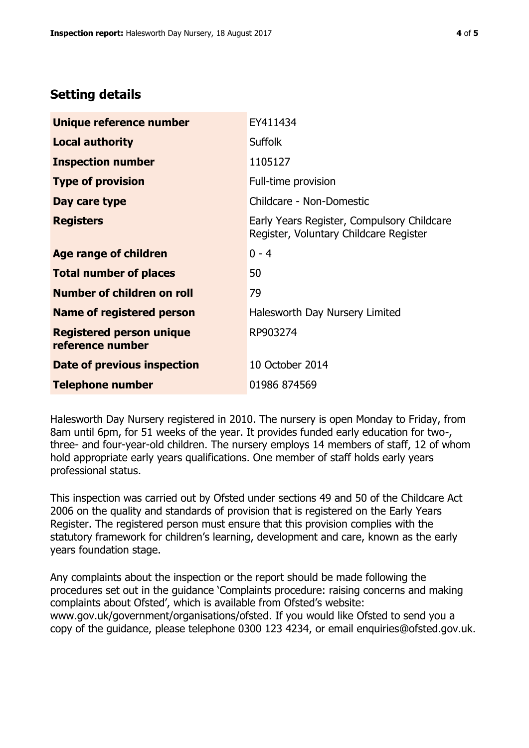# **Setting details**

| Unique reference number                             | EY411434                                                                             |  |
|-----------------------------------------------------|--------------------------------------------------------------------------------------|--|
| <b>Local authority</b>                              | <b>Suffolk</b>                                                                       |  |
| <b>Inspection number</b>                            | 1105127                                                                              |  |
| <b>Type of provision</b>                            | Full-time provision                                                                  |  |
| Day care type                                       | Childcare - Non-Domestic                                                             |  |
| <b>Registers</b>                                    | Early Years Register, Compulsory Childcare<br>Register, Voluntary Childcare Register |  |
| Age range of children                               | $0 - 4$                                                                              |  |
| <b>Total number of places</b>                       | 50                                                                                   |  |
| Number of children on roll                          | 79                                                                                   |  |
| Name of registered person                           | Halesworth Day Nursery Limited                                                       |  |
| <b>Registered person unique</b><br>reference number | RP903274                                                                             |  |
| <b>Date of previous inspection</b>                  | 10 October 2014                                                                      |  |
| <b>Telephone number</b>                             | 01986 874569                                                                         |  |

Halesworth Day Nursery registered in 2010. The nursery is open Monday to Friday, from 8am until 6pm, for 51 weeks of the year. It provides funded early education for two-, three- and four-year-old children. The nursery employs 14 members of staff, 12 of whom hold appropriate early years qualifications. One member of staff holds early years professional status.

This inspection was carried out by Ofsted under sections 49 and 50 of the Childcare Act 2006 on the quality and standards of provision that is registered on the Early Years Register. The registered person must ensure that this provision complies with the statutory framework for children's learning, development and care, known as the early years foundation stage.

Any complaints about the inspection or the report should be made following the procedures set out in the guidance 'Complaints procedure: raising concerns and making complaints about Ofsted', which is available from Ofsted's website: www.gov.uk/government/organisations/ofsted. If you would like Ofsted to send you a copy of the guidance, please telephone 0300 123 4234, or email enquiries@ofsted.gov.uk.